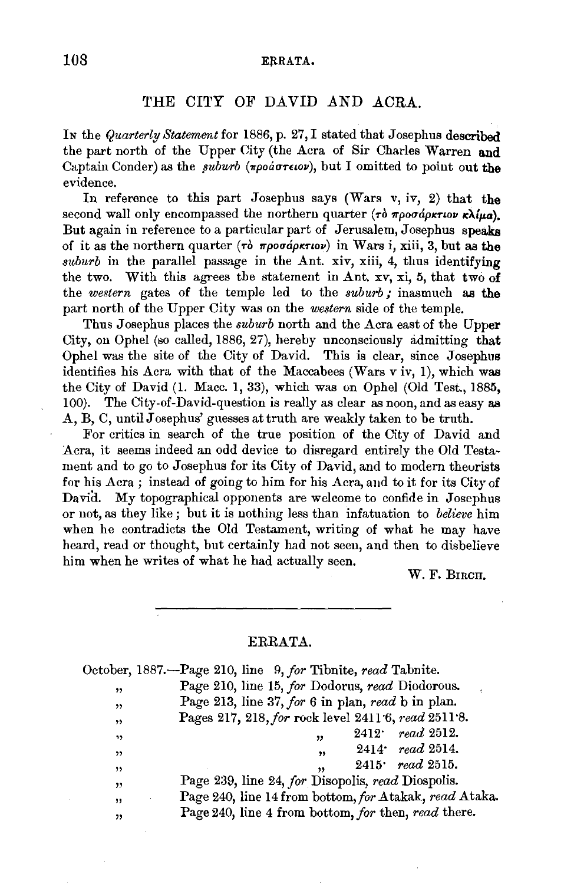## 108 ERRATA.

## THE CITY OF DAVID AND ACRA.

In the *Quarterly Statement* for 1886, p. 27, I stated that Josephus described the part north of the Upper City (the Acra of Sir Charles Warren and Captain Conder) as the *suburb* (*npoartiov*), but I omitted to point out the evidence.

In reference to this part Josephus says (Wars  $v, iv, 2$ ) that the second wall only encompassed the northern quarter ( $\tau \delta \pi \rho \sigma \sigma \Delta \rho \kappa \tau \omega \kappa \lambda \mu \sigma$ ). But again in reference to a particular part of Jerusalem, Josephus speaks of it as the northern quarter (To *1rpouapntov)* in Wars i, xiii, 3, but as the *s1tburb* in the parallel passage in the Ant. xiv, xiii, 4, thus identifying the two. With this agrees the statement in Ant. xv, xi, 5, that two of the *western* gates of the temple led to the *suburb;* inasmuch as the part north of the Upper City was on the *western* side of the temple.

Thus Josephus places the *suburb* north and the Acra east of the Upper City, on Ophel (so called, 1886, 27), hereby unconsciously admitting that Ophel was the site of the City of David. This is clear, since Josephus identifies his Acra with that of the Maccabees (Wars v iv, 1), which was the City of David (1. Mace. I, 33), which was on Ophel (Old Test., 1885, 100). The City-of-David-question is really as clear as noon, and as easy as A, B, C, until Josephus' guesses at truth are weakly taken to be truth.

For critics in search of the true position of the City of David and Acra, it seems indeed an odd device to disregard entirely the Old Testament and to go to Josephus for its City of David, and to modern theorists for his Acra; instead of going to him for his Acra, and to it for its City of David. My topographical opponents are welcome to confide in Josephus or not, as they like ; but it is nothing less than infatuation to *believe* him when he contradicts the Old Testament, writing of what he may have heard, read or thought, but certainly had not seen, and then to disbelieve him when he writes of what he had actually seen.

W.F. BIRCH.

## ERRATA.

|     | $\Omega$ october, 1887.—Page 210, line 9, for Tibnite, read Tabnite. |
|-----|----------------------------------------------------------------------|
| , , | Page 210, line 15, for Dodorus, read Diodorous.                      |
| ,,  | Page 213, line 37, for 6 in plan, read b in plan.                    |
| , , | Pages 217, 218, for rock level 2411.6, read 2511.8.                  |
| ,,  | $2412 \cdot \; read \; 2512.$<br>,,                                  |
| , , | $2414$ read 2514.<br>,                                               |
| ,,  | $2415$ read 2515.<br>,                                               |
| ,,  | Page 239, line 24, for Disopolis, read Diospolis.                    |
| ,   | Page 240, line 14 from bottom, for Atakak, read Ataka.               |
| "   | Page 240, line 4 from bottom, for then, read there.                  |
|     |                                                                      |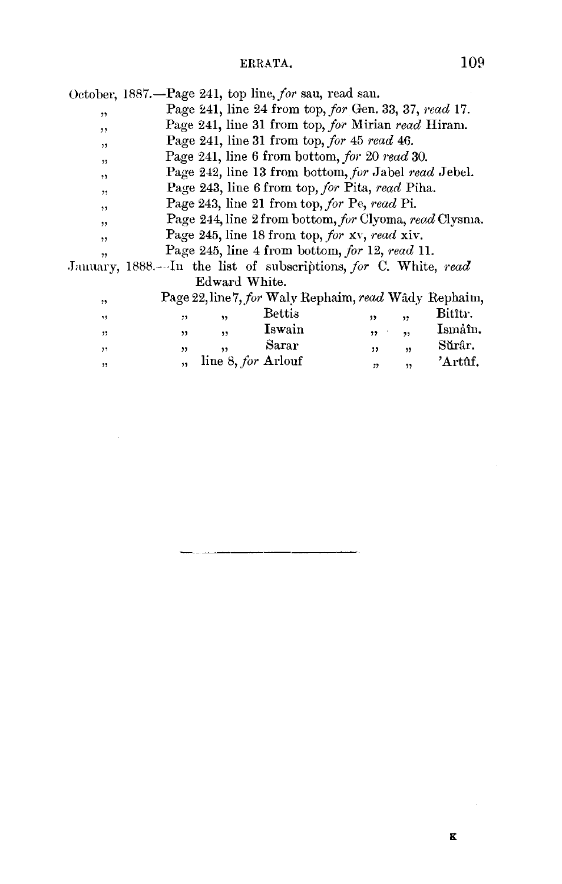|  | October, 1887.—Page 241, top line, for sau, read sau. |  |  |  |  |
|--|-------------------------------------------------------|--|--|--|--|
|--|-------------------------------------------------------|--|--|--|--|

Page 241, line 24 from top, *for* Gen. 33, 37, *1·ead* 17.  $,$ 

- Page 241, line 31 from top, *for* Mirian *read* Hiram. ,,
- Page 241, line 31 from top, *for* 45 *read* 46.  $,$
- Page 241, line 6 from bottom, *for* 20 *read* 30.  $, 2$
- Page 242, line 13 from bottom, *for* Jabel *read* Jebel. ,,
- Page 243, line 6 from top, *for* Pita, *read* Piha.  $,$
- Page 243, line 21 from top, *for Pe, read* Pi.  $,$
- Page 2-14, line 2 from bottom, *for* Clyoma, *read* Clysma.  $, ,$
- Page 245, line 18 from top, *for* XY, *1·ead* xiv. ,,
- , Page 245, line 4 from bottom, *for* 12, *read* 11.

.Jauuary, 1888.-··In the list of subscriptions, *for* C. White, *read*  Edward White.

| , 1                     |    |                    | Page 22, line 7, for Waly Rephaim, read Wâdy Rephaim, |      |     |         |
|-------------------------|----|--------------------|-------------------------------------------------------|------|-----|---------|
| ٠,                      | ,, | ,,                 | Bettis                                                |      | , , | Bitîtr. |
| $\overline{\mathbf{1}}$ | ,, | ,,                 | Iswain                                                | ,,   | ,   | Ismáîn. |
| ,                       | ,, | ,,                 | Sarar                                                 | ,,   | ,   | Sŭrâr.  |
| ,                       | 55 | line 8, for Arlouf |                                                       | , 22 | ,,  | 'Artûf. |
|                         |    |                    |                                                       |      |     |         |